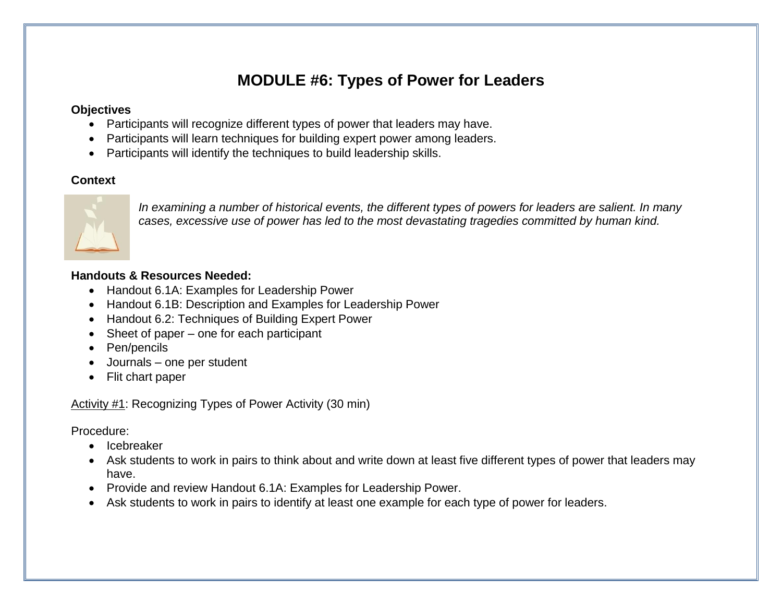# **MODULE #6: Types of Power for Leaders**

#### **Objectives**

- Participants will recognize different types of power that leaders may have.
- Participants will learn techniques for building expert power among leaders.
- Participants will identify the techniques to build leadership skills.

### **Context**



*In examining a number of historical events, the different types of powers for leaders are salient. In many cases, excessive use of power has led to the most devastating tragedies committed by human kind.* 

### **Handouts & Resources Needed:**

- Handout 6.1A: Examples for Leadership Power
- Handout 6.1B: Description and Examples for Leadership Power
- Handout 6.2: Techniques of Building Expert Power
- Sheet of paper one for each participant
- Pen/pencils
- Journals one per student
- Flit chart paper

Activity #1: Recognizing Types of Power Activity (30 min)

Procedure:

- Icebreaker
- Ask students to work in pairs to think about and write down at least five different types of power that leaders may have.
- Provide and review Handout 6.1A: Examples for Leadership Power.
- Ask students to work in pairs to identify at least one example for each type of power for leaders.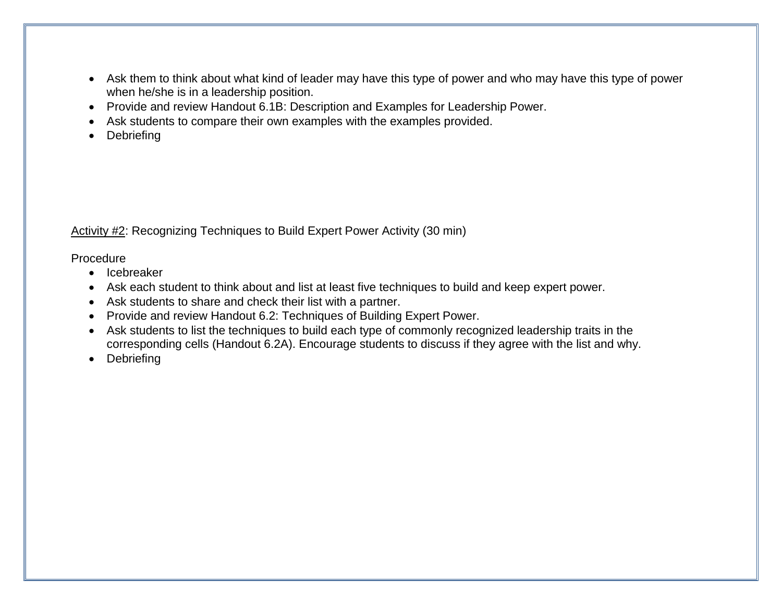- Ask them to think about what kind of leader may have this type of power and who may have this type of power when he/she is in a leadership position.
- Provide and review Handout 6.1B: Description and Examples for Leadership Power.
- Ask students to compare their own examples with the examples provided.
- Debriefing

Activity #2: Recognizing Techniques to Build Expert Power Activity (30 min)

Procedure

- Icebreaker
- Ask each student to think about and list at least five techniques to build and keep expert power.
- Ask students to share and check their list with a partner.
- Provide and review Handout 6.2: Techniques of Building Expert Power.
- Ask students to list the techniques to build each type of commonly recognized leadership traits in the corresponding cells (Handout 6.2A). Encourage students to discuss if they agree with the list and why.
- Debriefing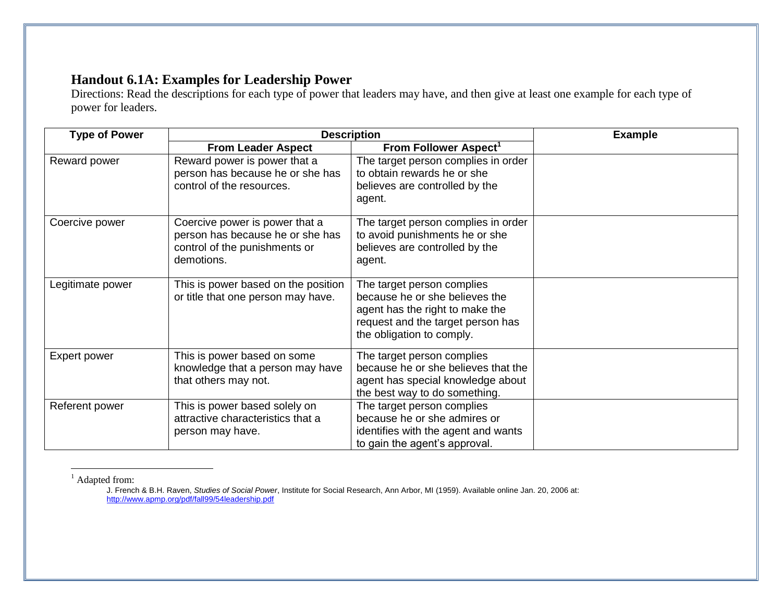### **Handout 6.1A: Examples for Leadership Power**

Directions: Read the descriptions for each type of power that leaders may have, and then give at least one example for each type of power for leaders.

| <b>Type of Power</b> | <b>Description</b>                                                                                                                                                                                                                     | <b>Example</b>                                                                                                                                                    |  |  |
|----------------------|----------------------------------------------------------------------------------------------------------------------------------------------------------------------------------------------------------------------------------------|-------------------------------------------------------------------------------------------------------------------------------------------------------------------|--|--|
|                      | <b>From Leader Aspect</b>                                                                                                                                                                                                              | From Follower Aspect <sup>1</sup>                                                                                                                                 |  |  |
| Reward power         | Reward power is power that a<br>person has because he or she has<br>control of the resources.                                                                                                                                          | The target person complies in order<br>to obtain rewards he or she<br>believes are controlled by the<br>agent.                                                    |  |  |
| Coercive power       | Coercive power is power that a<br>The target person complies in order<br>person has because he or she has<br>to avoid punishments he or she<br>control of the punishments or<br>believes are controlled by the<br>demotions.<br>agent. |                                                                                                                                                                   |  |  |
| Legitimate power     | This is power based on the position<br>or title that one person may have.                                                                                                                                                              | The target person complies<br>because he or she believes the<br>agent has the right to make the<br>request and the target person has<br>the obligation to comply. |  |  |
| <b>Expert power</b>  | This is power based on some<br>knowledge that a person may have<br>that others may not.                                                                                                                                                | The target person complies<br>because he or she believes that the<br>agent has special knowledge about<br>the best way to do something.                           |  |  |
| Referent power       | This is power based solely on<br>attractive characteristics that a<br>person may have.                                                                                                                                                 | The target person complies<br>because he or she admires or<br>identifies with the agent and wants<br>to gain the agent's approval.                                |  |  |

 $<sup>1</sup>$  Adapted from:</sup>

 $\overline{a}$ 

J. French & B.H. Raven, *Studies of Social Power*, Institute for Social Research, Ann Arbor, MI (1959). Available online Jan. 20, 2006 at: <http://www.apmp.org/pdf/fall99/54leadership.pdf>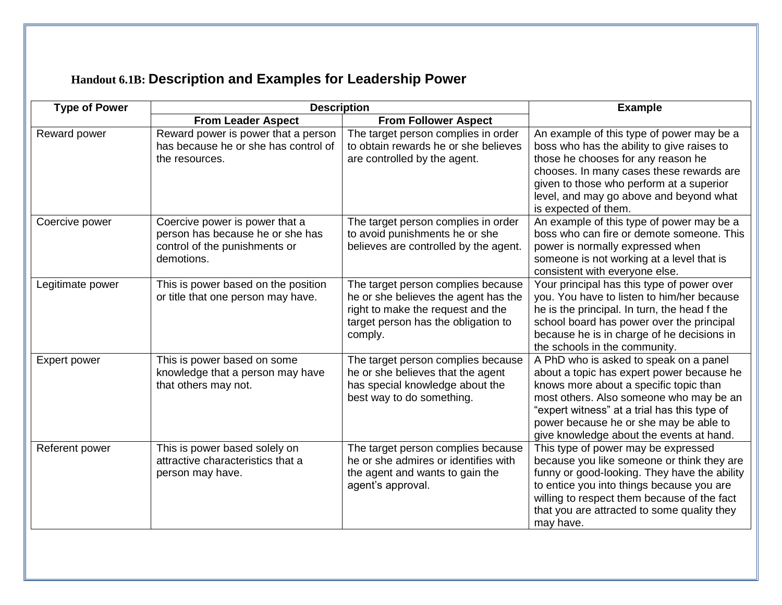# **Handout 6.1B: Description and Examples for Leadership Power**

| <b>Type of Power</b> | <b>Description</b>                                                                                                | <b>Example</b>                                                                                                                                                    |                                                                                                                                                                                                                                                                                                                |  |
|----------------------|-------------------------------------------------------------------------------------------------------------------|-------------------------------------------------------------------------------------------------------------------------------------------------------------------|----------------------------------------------------------------------------------------------------------------------------------------------------------------------------------------------------------------------------------------------------------------------------------------------------------------|--|
|                      | <b>From Leader Aspect</b>                                                                                         | <b>From Follower Aspect</b>                                                                                                                                       |                                                                                                                                                                                                                                                                                                                |  |
| Reward power         | Reward power is power that a person<br>has because he or she has control of<br>the resources.                     | The target person complies in order<br>to obtain rewards he or she believes<br>are controlled by the agent.                                                       | An example of this type of power may be a<br>boss who has the ability to give raises to<br>those he chooses for any reason he<br>chooses. In many cases these rewards are<br>given to those who perform at a superior<br>level, and may go above and beyond what<br>is expected of them.                       |  |
| Coercive power       | Coercive power is power that a<br>person has because he or she has<br>control of the punishments or<br>demotions. | The target person complies in order<br>to avoid punishments he or she<br>believes are controlled by the agent.                                                    | An example of this type of power may be a<br>boss who can fire or demote someone. This<br>power is normally expressed when<br>someone is not working at a level that is<br>consistent with everyone else.                                                                                                      |  |
| Legitimate power     | This is power based on the position<br>or title that one person may have.                                         | The target person complies because<br>he or she believes the agent has the<br>right to make the request and the<br>target person has the obligation to<br>comply. | Your principal has this type of power over<br>you. You have to listen to him/her because<br>he is the principal. In turn, the head f the<br>school board has power over the principal<br>because he is in charge of he decisions in<br>the schools in the community.                                           |  |
| <b>Expert power</b>  | This is power based on some<br>knowledge that a person may have<br>that others may not.                           | The target person complies because<br>he or she believes that the agent<br>has special knowledge about the<br>best way to do something.                           | A PhD who is asked to speak on a panel<br>about a topic has expert power because he<br>knows more about a specific topic than<br>most others. Also someone who may be an<br>"expert witness" at a trial has this type of<br>power because he or she may be able to<br>give knowledge about the events at hand. |  |
| Referent power       | This is power based solely on<br>attractive characteristics that a<br>person may have.                            | The target person complies because<br>he or she admires or identifies with<br>the agent and wants to gain the<br>agent's approval.                                | This type of power may be expressed<br>because you like someone or think they are<br>funny or good-looking. They have the ability<br>to entice you into things because you are<br>willing to respect them because of the fact<br>that you are attracted to some quality they<br>may have.                      |  |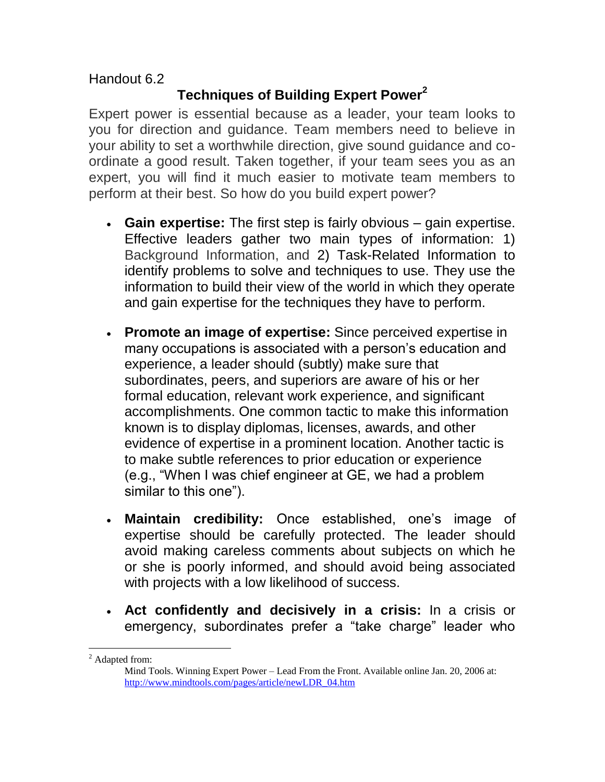Handout 6.2

### **Techniques of Building Expert Power<sup>2</sup>**

Expert power is essential because as a leader, your team looks to you for direction and guidance. Team members need to believe in your ability to set a worthwhile direction, give sound guidance and coordinate a good result. Taken together, if your team sees you as an expert, you will find it much easier to motivate team members to perform at their best. So how do you build expert power?

- **Gain expertise:** The first step is fairly obvious gain expertise. Effective leaders gather two main types of information: 1) Background Information, and 2) Task-Related Information to identify problems to solve and techniques to use. They use the information to build their view of the world in which they operate and gain expertise for the techniques they have to perform.
- **Promote an image of expertise:** Since perceived expertise in many occupations is associated with a person's education and experience, a leader should (subtly) make sure that subordinates, peers, and superiors are aware of his or her formal education, relevant work experience, and significant accomplishments. One common tactic to make this information known is to display diplomas, licenses, awards, and other evidence of expertise in a prominent location. Another tactic is to make subtle references to prior education or experience (e.g., "When I was chief engineer at GE, we had a problem similar to this one").
- **Maintain credibility:** Once established, one's image of expertise should be carefully protected. The leader should avoid making careless comments about subjects on which he or she is poorly informed, and should avoid being associated with projects with a low likelihood of success.
- **Act confidently and decisively in a crisis:** In a crisis or emergency, subordinates prefer a "take charge" leader who

<sup>&</sup>lt;u>.</u> <sup>2</sup> Adapted from:

Mind Tools. Winning Expert Power – Lead From the Front. Available online Jan. 20, 2006 at: [http://www.mindtools.com/pages/article/newLDR\\_04.htm](http://www.mindtools.com/pages/article/newLDR_04.htm)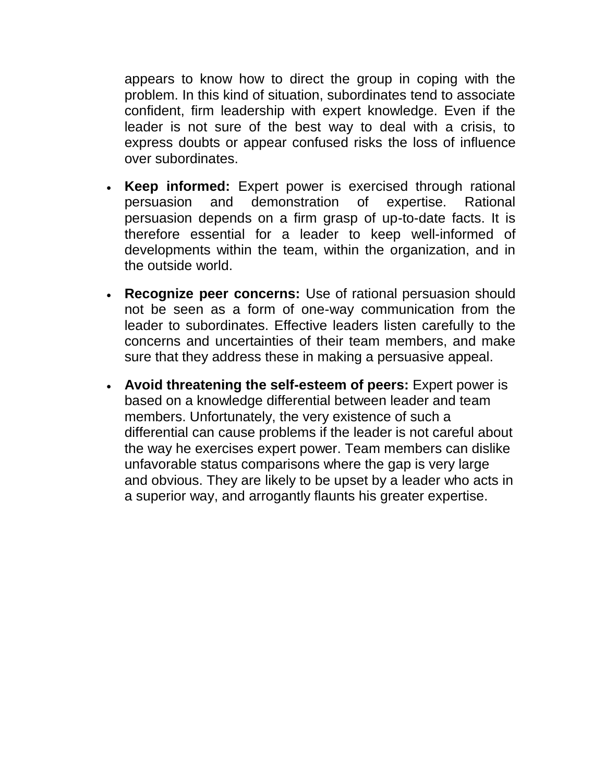appears to know how to direct the group in coping with the problem. In this kind of situation, subordinates tend to associate confident, firm leadership with expert knowledge. Even if the leader is not sure of the best way to deal with a crisis, to express doubts or appear confused risks the loss of influence over subordinates.

- **Keep informed:** Expert power is exercised through rational persuasion and demonstration of expertise. Rational persuasion depends on a firm grasp of up-to-date facts. It is therefore essential for a leader to keep well-informed of developments within the team, within the organization, and in the outside world.
- **Recognize peer concerns:** Use of rational persuasion should not be seen as a form of one-way communication from the leader to subordinates. Effective leaders listen carefully to the concerns and uncertainties of their team members, and make sure that they address these in making a persuasive appeal.
- **Avoid threatening the self-esteem of peers:** Expert power is based on a knowledge differential between leader and team members. Unfortunately, the very existence of such a differential can cause problems if the leader is not careful about the way he exercises expert power. Team members can dislike unfavorable status comparisons where the gap is very large and obvious. They are likely to be upset by a leader who acts in a superior way, and arrogantly flaunts his greater expertise.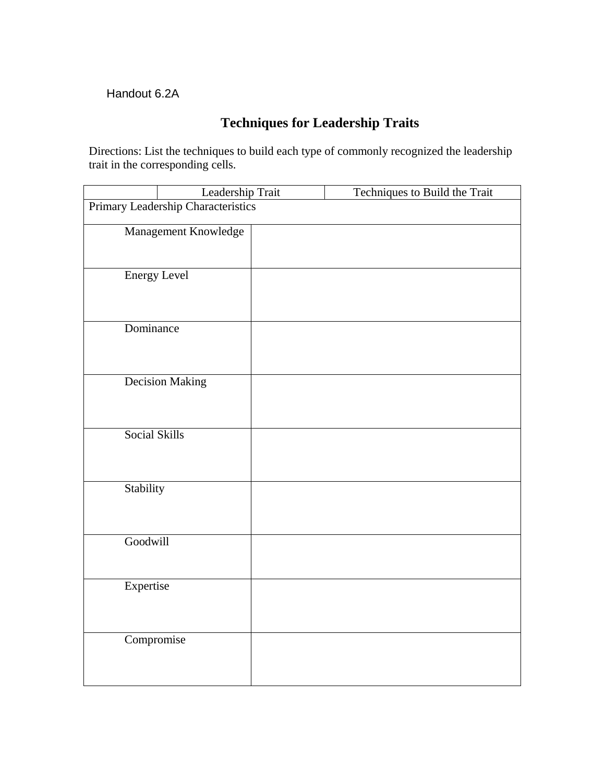### Handout 6.2A

## **Techniques for Leadership Traits**

Directions: List the techniques to build each type of commonly recognized the leadership trait in the corresponding cells.

|                                    | Leadership Trait |  | Techniques to Build the Trait |  |
|------------------------------------|------------------|--|-------------------------------|--|
| Primary Leadership Characteristics |                  |  |                               |  |
|                                    |                  |  |                               |  |
| Management Knowledge               |                  |  |                               |  |
|                                    |                  |  |                               |  |
| <b>Energy Level</b>                |                  |  |                               |  |
|                                    |                  |  |                               |  |
|                                    |                  |  |                               |  |
|                                    |                  |  |                               |  |
| Dominance                          |                  |  |                               |  |
|                                    |                  |  |                               |  |
|                                    |                  |  |                               |  |
| <b>Decision Making</b>             |                  |  |                               |  |
|                                    |                  |  |                               |  |
|                                    |                  |  |                               |  |
| Social Skills                      |                  |  |                               |  |
|                                    |                  |  |                               |  |
|                                    |                  |  |                               |  |
|                                    |                  |  |                               |  |
| Stability                          |                  |  |                               |  |
|                                    |                  |  |                               |  |
|                                    |                  |  |                               |  |
| Goodwill                           |                  |  |                               |  |
|                                    |                  |  |                               |  |
|                                    |                  |  |                               |  |
| Expertise                          |                  |  |                               |  |
|                                    |                  |  |                               |  |
|                                    |                  |  |                               |  |
| Compromise                         |                  |  |                               |  |
|                                    |                  |  |                               |  |
|                                    |                  |  |                               |  |